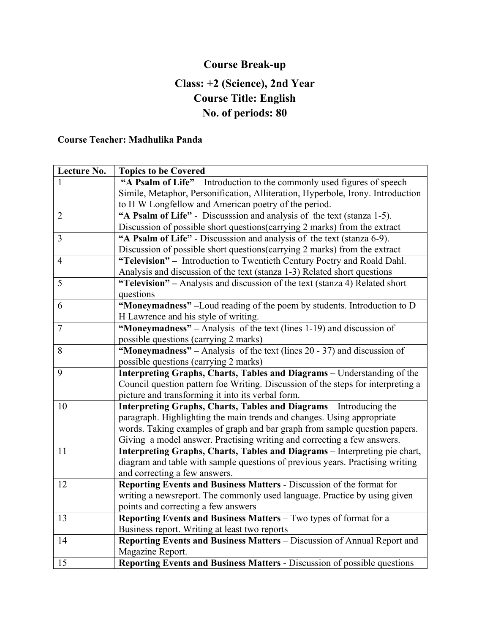# **Course Break-up**

## **Class: +2 (Science), 2nd Year Course Title: English No. of periods: 80**

#### **Course Teacher: Madhulika Panda**

| Lecture No.    | <b>Topics to be Covered</b>                                                      |
|----------------|----------------------------------------------------------------------------------|
|                | "A Psalm of Life" – Introduction to the commonly used figures of speech –        |
|                | Simile, Metaphor, Personification, Alliteration, Hyperbole, Irony. Introduction  |
|                | to H W Longfellow and American poetry of the period.                             |
| $\overline{2}$ | "A Psalm of Life" - Discusssion and analysis of the text (stanza 1-5).           |
|                | Discussion of possible short questions(carrying 2 marks) from the extract        |
| 3              | "A Psalm of Life" - Discusssion and analysis of the text (stanza 6-9).           |
|                | Discussion of possible short questions(carrying 2 marks) from the extract        |
| $\overline{4}$ | "Television" - Introduction to Twentieth Century Poetry and Roald Dahl.          |
|                | Analysis and discussion of the text (stanza 1-3) Related short questions         |
| 5              | "Television" – Analysis and discussion of the text (stanza 4) Related short      |
|                | questions                                                                        |
| 6              | "Moneymadness" -Loud reading of the poem by students. Introduction to D          |
|                | H Lawrence and his style of writing.                                             |
| $\overline{7}$ | "Moneymadness" – Analysis of the text (lines 1-19) and discussion of             |
|                | possible questions (carrying 2 marks)                                            |
| 8              | "Moneymadness" – Analysis of the text (lines $20 - 37$ ) and discussion of       |
|                | possible questions (carrying 2 marks)                                            |
| 9              | Interpreting Graphs, Charts, Tables and Diagrams - Understanding of the          |
|                | Council question pattern foe Writing. Discussion of the steps for interpreting a |
|                | picture and transforming it into its verbal form.                                |
| 10             | Interpreting Graphs, Charts, Tables and Diagrams - Introducing the               |
|                | paragraph. Highlighting the main trends and changes. Using appropriate           |
|                | words. Taking examples of graph and bar graph from sample question papers.       |
|                | Giving a model answer. Practising writing and correcting a few answers.          |
| 11             | Interpreting Graphs, Charts, Tables and Diagrams - Interpreting pie chart,       |
|                | diagram and table with sample questions of previous years. Practising writing    |
|                | and correcting a few answers.                                                    |
| 12             | Reporting Events and Business Matters - Discussion of the format for             |
|                | writing a newsreport. The commonly used language. Practice by using given        |
|                | points and correcting a few answers                                              |
| 13             | Reporting Events and Business Matters - Two types of format for a                |
|                | Business report. Writing at least two reports                                    |
| 14             | Reporting Events and Business Matters - Discussion of Annual Report and          |
|                | Magazine Report.                                                                 |
| 15             | Reporting Events and Business Matters - Discussion of possible questions         |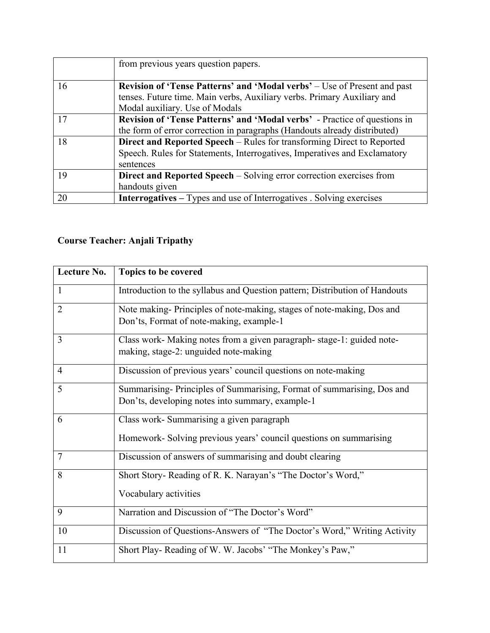|    | from previous years question papers.                                            |
|----|---------------------------------------------------------------------------------|
|    |                                                                                 |
| 16 | <b>Revision of 'Tense Patterns' and 'Modal verbs'</b> – Use of Present and past |
|    | tenses. Future time. Main verbs, Auxiliary verbs. Primary Auxiliary and         |
|    | Modal auxiliary. Use of Modals                                                  |
| 17 | Revision of 'Tense Patterns' and 'Modal verbs' - Practice of questions in       |
|    | the form of error correction in paragraphs (Handouts already distributed)       |
| 18 | Direct and Reported Speech – Rules for transforming Direct to Reported          |
|    | Speech. Rules for Statements, Interrogatives, Imperatives and Exclamatory       |
|    | sentences                                                                       |
| 19 | Direct and Reported Speech - Solving error correction exercises from            |
|    | handouts given                                                                  |
| 20 | <b>Interrogatives</b> – Types and use of Interrogatives . Solving exercises     |

### **Course Teacher: Anjali Tripathy**

| Lecture No.    | Topics to be covered                                                                                                      |
|----------------|---------------------------------------------------------------------------------------------------------------------------|
| $\mathbf{1}$   | Introduction to the syllabus and Question pattern; Distribution of Handouts                                               |
| 2              | Note making-Principles of note-making, stages of note-making, Dos and<br>Don'ts, Format of note-making, example-1         |
| 3              | Class work- Making notes from a given paragraph-stage-1: guided note-<br>making, stage-2: unguided note-making            |
| $\overline{4}$ | Discussion of previous years' council questions on note-making                                                            |
| 5              | Summarising-Principles of Summarising, Format of summarising, Dos and<br>Don'ts, developing notes into summary, example-1 |
| 6              | Class work- Summarising a given paragraph<br>Homework- Solving previous years' council questions on summarising           |
| $\overline{7}$ | Discussion of answers of summarising and doubt clearing                                                                   |
| 8              | Short Story- Reading of R. K. Narayan's "The Doctor's Word,"<br>Vocabulary activities                                     |
| 9              | Narration and Discussion of "The Doctor's Word"                                                                           |
| 10             | Discussion of Questions-Answers of "The Doctor's Word," Writing Activity                                                  |
| 11             | Short Play-Reading of W. W. Jacobs' "The Monkey's Paw,"                                                                   |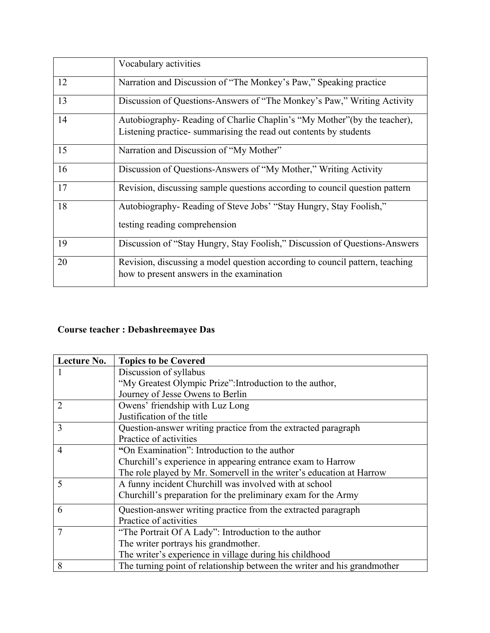|    | Vocabulary activities                                                                                                                        |
|----|----------------------------------------------------------------------------------------------------------------------------------------------|
| 12 | Narration and Discussion of "The Monkey's Paw," Speaking practice                                                                            |
| 13 | Discussion of Questions-Answers of "The Monkey's Paw," Writing Activity                                                                      |
| 14 | Autobiography-Reading of Charlie Chaplin's "My Mother" (by the teacher),<br>Listening practice-summarising the read out contents by students |
| 15 | Narration and Discussion of "My Mother"                                                                                                      |
| 16 | Discussion of Questions-Answers of "My Mother," Writing Activity                                                                             |
| 17 | Revision, discussing sample questions according to council question pattern                                                                  |
| 18 | Autobiography-Reading of Steve Jobs' "Stay Hungry, Stay Foolish,"<br>testing reading comprehension                                           |
| 19 | Discussion of "Stay Hungry, Stay Foolish," Discussion of Questions-Answers                                                                   |
| 20 | Revision, discussing a model question according to council pattern, teaching<br>how to present answers in the examination                    |

# **Course teacher : Debashreemayee Das**

| Lecture No.    | <b>Topics to be Covered</b>                                              |
|----------------|--------------------------------------------------------------------------|
|                | Discussion of syllabus                                                   |
|                | "My Greatest Olympic Prize": Introduction to the author,                 |
|                | Journey of Jesse Owens to Berlin                                         |
| $\overline{2}$ | Owens' friendship with Luz Long                                          |
|                | Justification of the title                                               |
| 3              | Question-answer writing practice from the extracted paragraph            |
|                | Practice of activities                                                   |
| 4              | "On Examination": Introduction to the author                             |
|                | Churchill's experience in appearing entrance exam to Harrow              |
|                | The role played by Mr. Somervell in the writer's education at Harrow     |
| 5              | A funny incident Churchill was involved with at school                   |
|                | Churchill's preparation for the preliminary exam for the Army            |
| 6              | Question-answer writing practice from the extracted paragraph            |
|                | Practice of activities                                                   |
| $\overline{7}$ | "The Portrait Of A Lady": Introduction to the author                     |
|                | The writer portrays his grandmother.                                     |
|                | The writer's experience in village during his childhood                  |
| 8              | The turning point of relationship between the writer and his grandmother |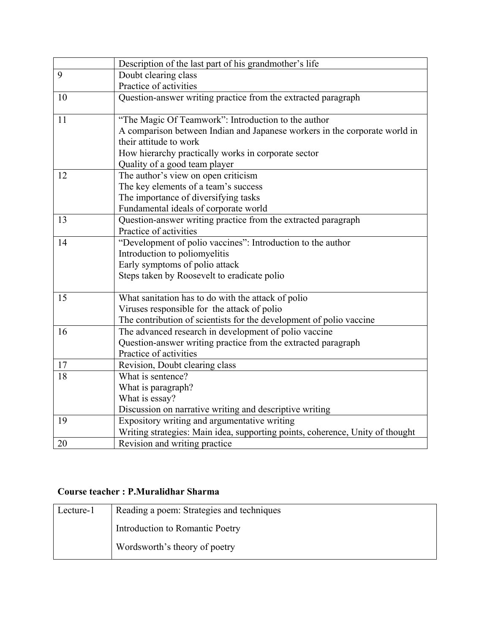|    | Description of the last part of his grandmother's life                        |
|----|-------------------------------------------------------------------------------|
| 9  | Doubt clearing class                                                          |
|    | Practice of activities                                                        |
| 10 | Question-answer writing practice from the extracted paragraph                 |
|    |                                                                               |
| 11 | "The Magic Of Teamwork": Introduction to the author                           |
|    | A comparison between Indian and Japanese workers in the corporate world in    |
|    | their attitude to work                                                        |
|    | How hierarchy practically works in corporate sector                           |
|    | Quality of a good team player                                                 |
| 12 | The author's view on open criticism                                           |
|    | The key elements of a team's success                                          |
|    | The importance of diversifying tasks                                          |
|    | Fundamental ideals of corporate world                                         |
| 13 | Question-answer writing practice from the extracted paragraph                 |
|    | Practice of activities                                                        |
| 14 | "Development of polio vaccines": Introduction to the author                   |
|    | Introduction to poliomyelitis                                                 |
|    | Early symptoms of polio attack                                                |
|    | Steps taken by Roosevelt to eradicate polio                                   |
| 15 | What sanitation has to do with the attack of polio                            |
|    | Viruses responsible for the attack of polio                                   |
|    | The contribution of scientists for the development of polio vaccine           |
| 16 | The advanced research in development of polio vaccine                         |
|    | Question-answer writing practice from the extracted paragraph                 |
|    | Practice of activities                                                        |
| 17 | Revision, Doubt clearing class                                                |
| 18 | What is sentence?                                                             |
|    | What is paragraph?                                                            |
|    | What is essay?                                                                |
|    | Discussion on narrative writing and descriptive writing                       |
| 19 | Expository writing and argumentative writing                                  |
|    | Writing strategies: Main idea, supporting points, coherence, Unity of thought |
| 20 | Revision and writing practice                                                 |

#### **Course teacher : P.Muralidhar Sharma**

| Lecture-1 | Reading a poem: Strategies and techniques |
|-----------|-------------------------------------------|
|           | Introduction to Romantic Poetry           |
|           | Wordsworth's theory of poetry             |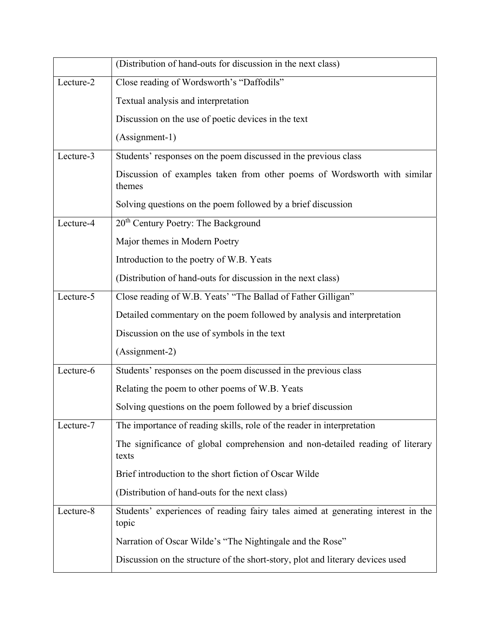|           | (Distribution of hand-outs for discussion in the next class)                              |
|-----------|-------------------------------------------------------------------------------------------|
| Lecture-2 | Close reading of Wordsworth's "Daffodils"                                                 |
|           | Textual analysis and interpretation                                                       |
|           | Discussion on the use of poetic devices in the text                                       |
|           | (Assignment-1)                                                                            |
| Lecture-3 | Students' responses on the poem discussed in the previous class                           |
|           | Discussion of examples taken from other poems of Wordsworth with similar<br>themes        |
|           | Solving questions on the poem followed by a brief discussion                              |
| Lecture-4 | 20 <sup>th</sup> Century Poetry: The Background                                           |
|           | Major themes in Modern Poetry                                                             |
|           | Introduction to the poetry of W.B. Yeats                                                  |
|           | (Distribution of hand-outs for discussion in the next class)                              |
| Lecture-5 | Close reading of W.B. Yeats' "The Ballad of Father Gilligan"                              |
|           | Detailed commentary on the poem followed by analysis and interpretation                   |
|           | Discussion on the use of symbols in the text                                              |
|           | (Assignment-2)                                                                            |
| Lecture-6 | Students' responses on the poem discussed in the previous class                           |
|           | Relating the poem to other poems of W.B. Yeats                                            |
|           | Solving questions on the poem followed by a brief discussion                              |
| Lecture-7 | The importance of reading skills, role of the reader in interpretation                    |
|           | The significance of global comprehension and non-detailed reading of literary<br>texts    |
|           | Brief introduction to the short fiction of Oscar Wilde                                    |
|           | (Distribution of hand-outs for the next class)                                            |
| Lecture-8 | Students' experiences of reading fairy tales aimed at generating interest in the<br>topic |
|           | Narration of Oscar Wilde's "The Nightingale and the Rose"                                 |
|           | Discussion on the structure of the short-story, plot and literary devices used            |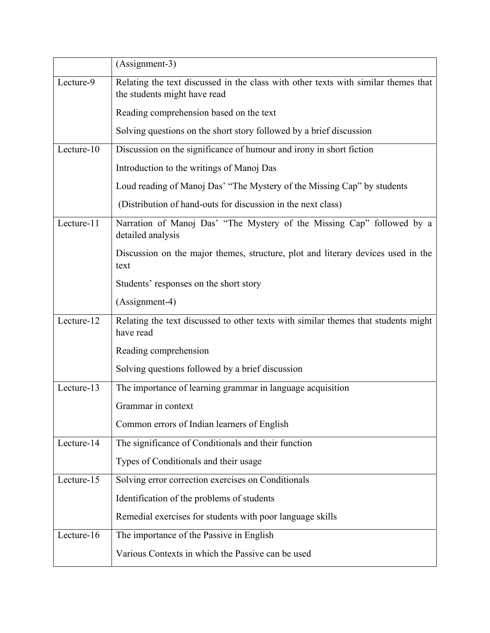|            | (Assignment-3)                                                                                                     |
|------------|--------------------------------------------------------------------------------------------------------------------|
| Lecture-9  | Relating the text discussed in the class with other texts with similar themes that<br>the students might have read |
|            | Reading comprehension based on the text                                                                            |
|            | Solving questions on the short story followed by a brief discussion                                                |
| Lecture-10 | Discussion on the significance of humour and irony in short fiction                                                |
|            | Introduction to the writings of Manoj Das                                                                          |
|            | Loud reading of Manoj Das' "The Mystery of the Missing Cap" by students                                            |
|            | (Distribution of hand-outs for discussion in the next class)                                                       |
| Lecture-11 | Narration of Manoj Das' "The Mystery of the Missing Cap" followed by a<br>detailed analysis                        |
|            | Discussion on the major themes, structure, plot and literary devices used in the<br>text                           |
|            | Students' responses on the short story                                                                             |
|            | (Assignment-4)                                                                                                     |
| Lecture-12 | Relating the text discussed to other texts with similar themes that students might<br>have read                    |
|            | Reading comprehension                                                                                              |
|            | Solving questions followed by a brief discussion                                                                   |
| Lecture-13 | The importance of learning grammar in language acquisition                                                         |
|            | Grammar in context                                                                                                 |
|            | Common errors of Indian learners of English                                                                        |
| Lecture-14 | The significance of Conditionals and their function                                                                |
|            | Types of Conditionals and their usage                                                                              |
| Lecture-15 | Solving error correction exercises on Conditionals                                                                 |
|            | Identification of the problems of students                                                                         |
|            | Remedial exercises for students with poor language skills                                                          |
| Lecture-16 | The importance of the Passive in English                                                                           |
|            | Various Contexts in which the Passive can be used                                                                  |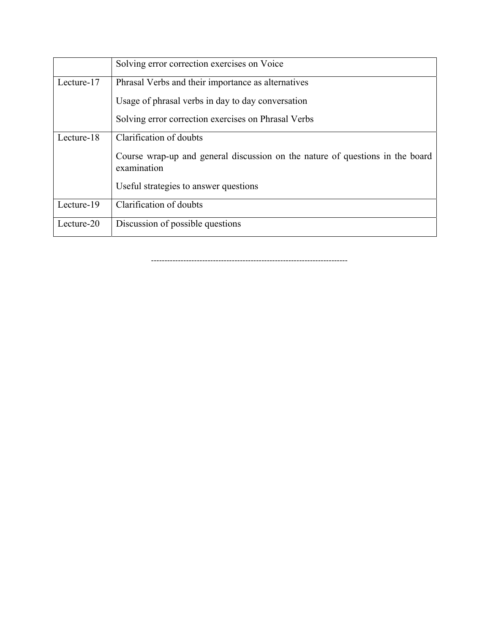|            | Solving error correction exercises on Voice                                                  |
|------------|----------------------------------------------------------------------------------------------|
| Lecture-17 | Phrasal Verbs and their importance as alternatives                                           |
|            | Usage of phrasal verbs in day to day conversation                                            |
|            | Solving error correction exercises on Phrasal Verbs                                          |
| Lecture-18 | Clarification of doubts                                                                      |
|            | Course wrap-up and general discussion on the nature of questions in the board<br>examination |
|            | Useful strategies to answer questions                                                        |
| Lecture-19 | Clarification of doubts                                                                      |
| Lecture-20 | Discussion of possible questions                                                             |

‐‐‐‐‐‐‐‐‐‐‐‐‐‐‐‐‐‐‐‐‐‐‐‐‐‐‐‐‐‐‐‐‐‐‐‐‐‐‐‐‐‐‐‐‐‐‐‐‐‐‐‐‐‐‐‐‐‐‐‐‐‐‐‐‐‐‐‐‐‐‐‐‐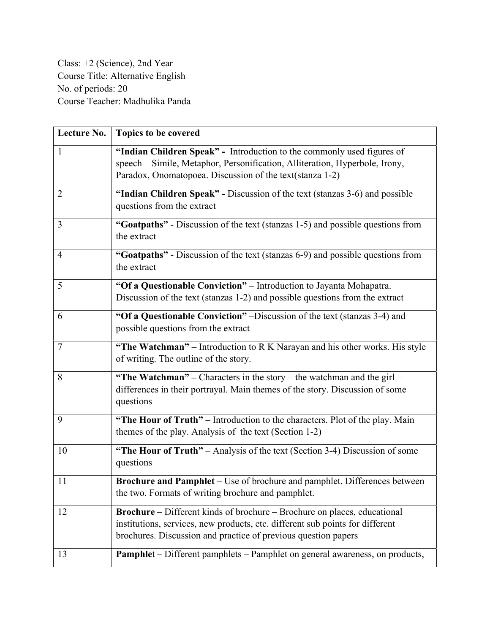Class: +2 (Science), 2nd Year Course Title: Alternative English No. of periods: 20 Course Teacher: Madhulika Panda

| Lecture No.    | Topics to be covered                                                                                                                                                                                                               |
|----------------|------------------------------------------------------------------------------------------------------------------------------------------------------------------------------------------------------------------------------------|
| $\mathbf{1}$   | "Indian Children Speak" - Introduction to the commonly used figures of<br>speech - Simile, Metaphor, Personification, Alliteration, Hyperbole, Irony,<br>Paradox, Onomatopoea. Discussion of the text(stanza 1-2)                  |
| 2              | "Indian Children Speak" - Discussion of the text (stanzas 3-6) and possible<br>questions from the extract                                                                                                                          |
| $\overline{3}$ | "Goatpaths" - Discussion of the text (stanzas 1-5) and possible questions from<br>the extract                                                                                                                                      |
| $\overline{4}$ | "Goatpaths" - Discussion of the text (stanzas 6-9) and possible questions from<br>the extract                                                                                                                                      |
| 5              | "Of a Questionable Conviction" - Introduction to Jayanta Mohapatra.<br>Discussion of the text (stanzas 1-2) and possible questions from the extract                                                                                |
| 6              | "Of a Questionable Conviction" –Discussion of the text (stanzas 3-4) and<br>possible questions from the extract                                                                                                                    |
| $\tau$         | "The Watchman" – Introduction to R K Narayan and his other works. His style<br>of writing. The outline of the story.                                                                                                               |
| 8              | "The Watchman" - Characters in the story - the watchman and the girl -<br>differences in their portrayal. Main themes of the story. Discussion of some<br>questions                                                                |
| 9              | "The Hour of Truth" – Introduction to the characters. Plot of the play. Main<br>themes of the play. Analysis of the text (Section 1-2)                                                                                             |
| 10             | "The Hour of Truth" - Analysis of the text (Section 3-4) Discussion of some<br>questions                                                                                                                                           |
| 11             | <b>Brochure and Pamphlet</b> – Use of brochure and pamphlet. Differences between<br>the two. Formats of writing brochure and pamphlet.                                                                                             |
| 12             | <b>Brochure</b> – Different kinds of brochure – Brochure on places, educational<br>institutions, services, new products, etc. different sub points for different<br>brochures. Discussion and practice of previous question papers |
| 13             | Pamphlet - Different pamphlets - Pamphlet on general awareness, on products,                                                                                                                                                       |